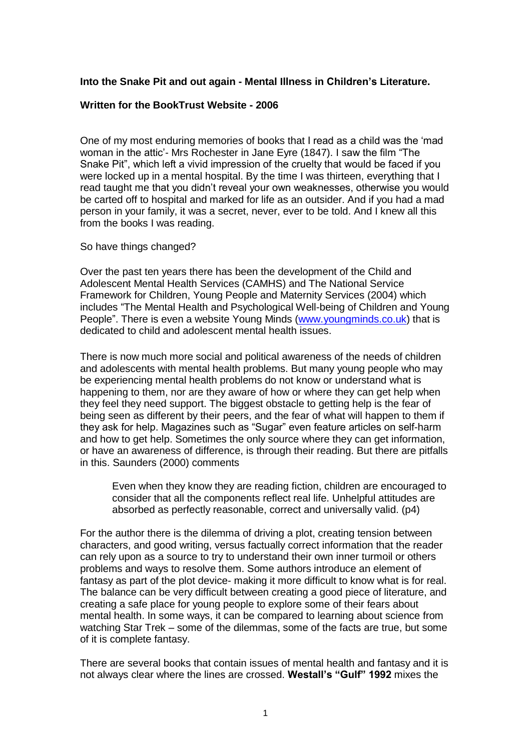## **Into the Snake Pit and out again - Mental Illness in Children's Literature.**

## **Written for the BookTrust Website - 2006**

One of my most enduring memories of books that I read as a child was the 'mad woman in the attic'- Mrs Rochester in Jane Eyre (1847). I saw the film "The Snake Pit", which left a vivid impression of the cruelty that would be faced if you were locked up in a mental hospital. By the time I was thirteen, everything that I read taught me that you didn't reveal your own weaknesses, otherwise you would be carted off to hospital and marked for life as an outsider. And if you had a mad person in your family, it was a secret, never, ever to be told. And I knew all this from the books I was reading.

So have things changed?

Over the past ten years there has been the development of the Child and Adolescent Mental Health Services (CAMHS) and The National Service Framework for Children, Young People and Maternity Services (2004) which includes "The Mental Health and Psychological Well-being of Children and Young People". There is even a website Young Minds [\(www.youngminds.co.uk\)](http://www.youngminds.co.uk/) that is dedicated to child and adolescent mental health issues.

There is now much more social and political awareness of the needs of children and adolescents with mental health problems. But many young people who may be experiencing mental health problems do not know or understand what is happening to them, nor are they aware of how or where they can get help when they feel they need support. The biggest obstacle to getting help is the fear of being seen as different by their peers, and the fear of what will happen to them if they ask for help. Magazines such as "Sugar" even feature articles on self-harm and how to get help. Sometimes the only source where they can get information, or have an awareness of difference, is through their reading. But there are pitfalls in this. Saunders (2000) comments

Even when they know they are reading fiction, children are encouraged to consider that all the components reflect real life. Unhelpful attitudes are absorbed as perfectly reasonable, correct and universally valid. (p4)

For the author there is the dilemma of driving a plot, creating tension between characters, and good writing, versus factually correct information that the reader can rely upon as a source to try to understand their own inner turmoil or others problems and ways to resolve them. Some authors introduce an element of fantasy as part of the plot device- making it more difficult to know what is for real. The balance can be very difficult between creating a good piece of literature, and creating a safe place for young people to explore some of their fears about mental health. In some ways, it can be compared to learning about science from watching Star Trek – some of the dilemmas, some of the facts are true, but some of it is complete fantasy.

There are several books that contain issues of mental health and fantasy and it is not always clear where the lines are crossed. **Westall's "Gulf" 1992** mixes the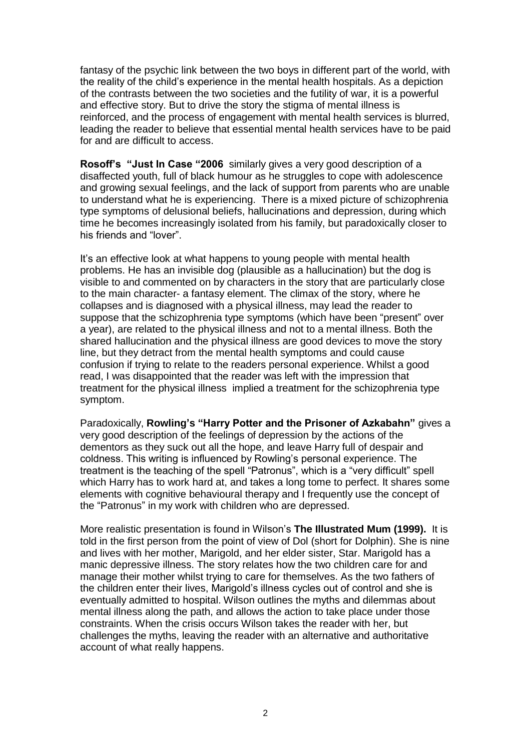fantasy of the psychic link between the two boys in different part of the world, with the reality of the child's experience in the mental health hospitals. As a depiction of the contrasts between the two societies and the futility of war, it is a powerful and effective story. But to drive the story the stigma of mental illness is reinforced, and the process of engagement with mental health services is blurred, leading the reader to believe that essential mental health services have to be paid for and are difficult to access.

**Rosoff's "Just In Case "2006** similarly gives a very good description of a disaffected youth, full of black humour as he struggles to cope with adolescence and growing sexual feelings, and the lack of support from parents who are unable to understand what he is experiencing. There is a mixed picture of schizophrenia type symptoms of delusional beliefs, hallucinations and depression, during which time he becomes increasingly isolated from his family, but paradoxically closer to his friends and "lover".

It's an effective look at what happens to young people with mental health problems. He has an invisible dog (plausible as a hallucination) but the dog is visible to and commented on by characters in the story that are particularly close to the main character- a fantasy element. The climax of the story, where he collapses and is diagnosed with a physical illness, may lead the reader to suppose that the schizophrenia type symptoms (which have been "present" over a year), are related to the physical illness and not to a mental illness. Both the shared hallucination and the physical illness are good devices to move the story line, but they detract from the mental health symptoms and could cause confusion if trying to relate to the readers personal experience. Whilst a good read, I was disappointed that the reader was left with the impression that treatment for the physical illness implied a treatment for the schizophrenia type symptom.

Paradoxically, **Rowling's "Harry Potter and the Prisoner of Azkabahn"** gives a very good description of the feelings of depression by the actions of the dementors as they suck out all the hope, and leave Harry full of despair and coldness. This writing is influenced by Rowling's personal experience. The treatment is the teaching of the spell "Patronus", which is a "very difficult" spell which Harry has to work hard at, and takes a long tome to perfect. It shares some elements with cognitive behavioural therapy and I frequently use the concept of the "Patronus" in my work with children who are depressed.

More realistic presentation is found in Wilson's **The Illustrated Mum (1999).** It is told in the first person from the point of view of Dol (short for Dolphin). She is nine and lives with her mother, Marigold, and her elder sister, Star. Marigold has a manic depressive illness. The story relates how the two children care for and manage their mother whilst trying to care for themselves. As the two fathers of the children enter their lives, Marigold's illness cycles out of control and she is eventually admitted to hospital. Wilson outlines the myths and dilemmas about mental illness along the path, and allows the action to take place under those constraints. When the crisis occurs Wilson takes the reader with her, but challenges the myths, leaving the reader with an alternative and authoritative account of what really happens.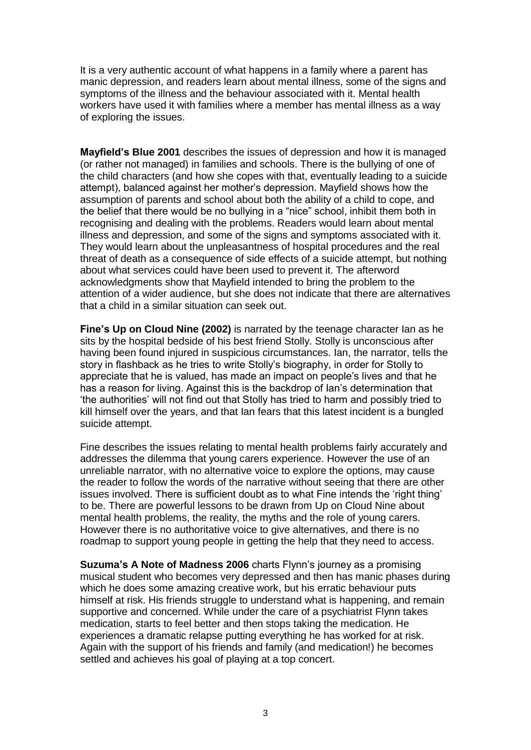It is a very authentic account of what happens in a family where a parent has manic depression, and readers learn about mental illness, some of the signs and symptoms of the illness and the behaviour associated with it. Mental health workers have used it with families where a member has mental illness as a way of exploring the issues.

**Mayfield's Blue 2001** describes the issues of depression and how it is managed (or rather not managed) in families and schools. There is the bullying of one of the child characters (and how she copes with that, eventually leading to a suicide attempt), balanced against her mother's depression. Mayfield shows how the assumption of parents and school about both the ability of a child to cope, and the belief that there would be no bullying in a "nice" school, inhibit them both in recognising and dealing with the problems. Readers would learn about mental illness and depression, and some of the signs and symptoms associated with it. They would learn about the unpleasantness of hospital procedures and the real threat of death as a consequence of side effects of a suicide attempt, but nothing about what services could have been used to prevent it. The afterword acknowledgments show that Mayfield intended to bring the problem to the attention of a wider audience, but she does not indicate that there are alternatives that a child in a similar situation can seek out.

**Fine's Up on Cloud Nine (2002)** is narrated by the teenage character Ian as he sits by the hospital bedside of his best friend Stolly. Stolly is unconscious after having been found injured in suspicious circumstances. Ian, the narrator, tells the story in flashback as he tries to write Stolly's biography, in order for Stolly to appreciate that he is valued, has made an impact on people's lives and that he has a reason for living. Against this is the backdrop of Ian's determination that 'the authorities' will not find out that Stolly has tried to harm and possibly tried to kill himself over the years, and that Ian fears that this latest incident is a bungled suicide attempt.

Fine describes the issues relating to mental health problems fairly accurately and addresses the dilemma that young carers experience. However the use of an unreliable narrator, with no alternative voice to explore the options, may cause the reader to follow the words of the narrative without seeing that there are other issues involved. There is sufficient doubt as to what Fine intends the 'right thing' to be. There are powerful lessons to be drawn from Up on Cloud Nine about mental health problems, the reality, the myths and the role of young carers. However there is no authoritative voice to give alternatives, and there is no roadmap to support young people in getting the help that they need to access.

**Suzuma's A Note of Madness 2006** charts Flynn's journey as a promising musical student who becomes very depressed and then has manic phases during which he does some amazing creative work, but his erratic behaviour puts himself at risk. His friends struggle to understand what is happening, and remain supportive and concerned. While under the care of a psychiatrist Flynn takes medication, starts to feel better and then stops taking the medication. He experiences a dramatic relapse putting everything he has worked for at risk. Again with the support of his friends and family (and medication!) he becomes settled and achieves his goal of playing at a top concert.